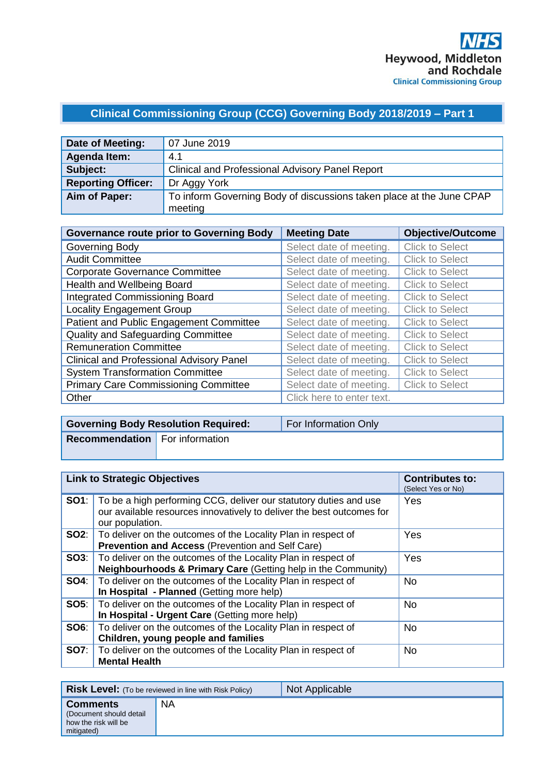## **Clinical Commissioning Group (CCG) Governing Body 2018/2019 – Part 1**

| Date of Meeting:          | 07 June 2019                                                         |
|---------------------------|----------------------------------------------------------------------|
| <b>Agenda Item:</b>       | 4.1                                                                  |
| Subject:                  | <b>Clinical and Professional Advisory Panel Report</b>               |
| <b>Reporting Officer:</b> | Dr Aggy York                                                         |
| Aim of Paper:             | To inform Governing Body of discussions taken place at the June CPAP |
|                           | meeting                                                              |

| <b>Governance route prior to Governing Body</b> | <b>Meeting Date</b>       | <b>Objective/Outcome</b> |
|-------------------------------------------------|---------------------------|--------------------------|
| Governing Body                                  | Select date of meeting.   | <b>Click to Select</b>   |
| <b>Audit Committee</b>                          | Select date of meeting.   | <b>Click to Select</b>   |
| <b>Corporate Governance Committee</b>           | Select date of meeting.   | <b>Click to Select</b>   |
| Health and Wellbeing Board                      | Select date of meeting.   | <b>Click to Select</b>   |
| <b>Integrated Commissioning Board</b>           | Select date of meeting.   | <b>Click to Select</b>   |
| <b>Locality Engagement Group</b>                | Select date of meeting.   | <b>Click to Select</b>   |
| Patient and Public Engagement Committee         | Select date of meeting.   | <b>Click to Select</b>   |
| <b>Quality and Safeguarding Committee</b>       | Select date of meeting.   | <b>Click to Select</b>   |
| <b>Remuneration Committee</b>                   | Select date of meeting.   | <b>Click to Select</b>   |
| <b>Clinical and Professional Advisory Panel</b> | Select date of meeting.   | <b>Click to Select</b>   |
| <b>System Transformation Committee</b>          | Select date of meeting.   | <b>Click to Select</b>   |
| <b>Primary Care Commissioning Committee</b>     | Select date of meeting.   | <b>Click to Select</b>   |
| Other                                           | Click here to enter text. |                          |

|                                       | <b>Governing Body Resolution Required:</b> | For Information Only |
|---------------------------------------|--------------------------------------------|----------------------|
| <b>Recommendation</b> For information |                                            |                      |
|                                       |                                            |                      |

| <b>Link to Strategic Objectives</b> |                                                                                                                                                                            | <b>Contributes to:</b><br>(Select Yes or No) |
|-------------------------------------|----------------------------------------------------------------------------------------------------------------------------------------------------------------------------|----------------------------------------------|
|                                     | <b>SO1</b> : To be a high performing CCG, deliver our statutory duties and use<br>our available resources innovatively to deliver the best outcomes for<br>our population. | Yes                                          |
| SO2:                                | To deliver on the outcomes of the Locality Plan in respect of<br><b>Prevention and Access (Prevention and Self Care)</b>                                                   | Yes                                          |
| SO3:                                | To deliver on the outcomes of the Locality Plan in respect of<br>Neighbourhoods & Primary Care (Getting help in the Community)                                             | Yes                                          |
| SO4:                                | To deliver on the outcomes of the Locality Plan in respect of<br>In Hospital - Planned (Getting more help)                                                                 | No.                                          |
| SO5:                                | To deliver on the outcomes of the Locality Plan in respect of<br>In Hospital - Urgent Care (Getting more help)                                                             | No.                                          |
| SO6:                                | To deliver on the outcomes of the Locality Plan in respect of<br>Children, young people and families                                                                       | No.                                          |
| <b>SO7:</b>                         | To deliver on the outcomes of the Locality Plan in respect of<br><b>Mental Health</b>                                                                                      | <b>No</b>                                    |

| <b>Risk Level:</b> (To be reviewed in line with Risk Policy)                     |           | Not Applicable |
|----------------------------------------------------------------------------------|-----------|----------------|
| <b>Comments</b><br>(Document should detail<br>how the risk will be<br>mitigated) | <b>NA</b> |                |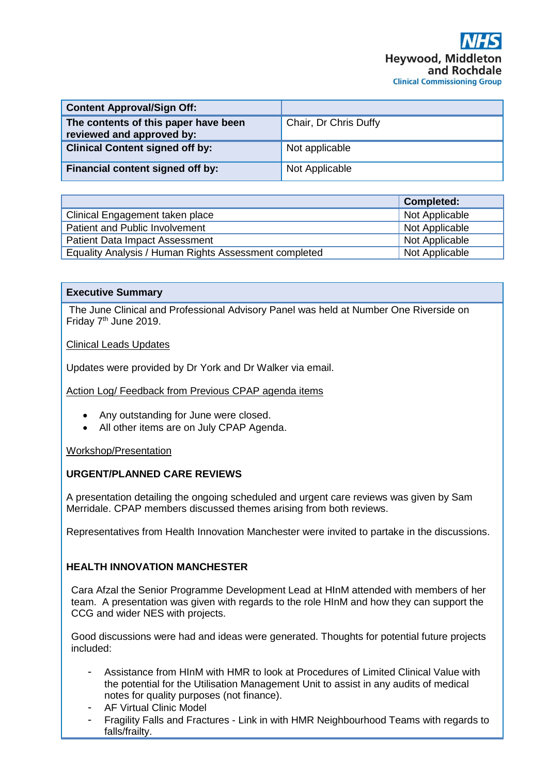| <b>Content Approval/Sign Off:</b>                                 |                       |
|-------------------------------------------------------------------|-----------------------|
| The contents of this paper have been<br>reviewed and approved by: | Chair, Dr Chris Duffy |
| <b>Clinical Content signed off by:</b>                            | Not applicable        |
| Financial content signed off by:                                  | Not Applicable        |

|                                                       | <b>Completed:</b> |
|-------------------------------------------------------|-------------------|
| Clinical Engagement taken place                       | Not Applicable    |
| Patient and Public Involvement                        | Not Applicable    |
| <b>Patient Data Impact Assessment</b>                 | Not Applicable    |
| Equality Analysis / Human Rights Assessment completed | Not Applicable    |

## **Executive Summary**

The June Clinical and Professional Advisory Panel was held at Number One Riverside on Friday 7<sup>th</sup> June 2019.

Clinical Leads Updates

Updates were provided by Dr York and Dr Walker via email.

Action Log/ Feedback from Previous CPAP agenda items

- Any outstanding for June were closed.
- All other items are on July CPAP Agenda.

Workshop/Presentation

## **URGENT/PLANNED CARE REVIEWS**

A presentation detailing the ongoing scheduled and urgent care reviews was given by Sam Merridale. CPAP members discussed themes arising from both reviews.

Representatives from Health Innovation Manchester were invited to partake in the discussions.

## **HEALTH INNOVATION MANCHESTER**

Cara Afzal the Senior Programme Development Lead at HInM attended with members of her team. A presentation was given with regards to the role HInM and how they can support the CCG and wider NES with projects.

Good discussions were had and ideas were generated. Thoughts for potential future projects included:

- Assistance from HInM with HMR to look at Procedures of Limited Clinical Value with the potential for the Utilisation Management Unit to assist in any audits of medical notes for quality purposes (not finance).
- AF Virtual Clinic Model
- Fragility Falls and Fractures Link in with HMR Neighbourhood Teams with regards to falls/frailty.